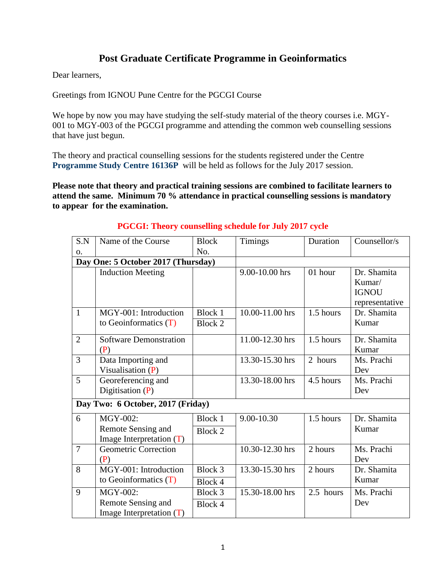## **Post Graduate Certificate Programme in Geoinformatics**

Dear learners,

Greetings from IGNOU Pune Centre for the PGCGI Course

We hope by now you may have studying the self-study material of the theory courses i.e. MGY-001 to MGY-003 of the PGCGI programme and attending the common web counselling sessions that have just begun.

The theory and practical counselling sessions for the students registered under the Centre **Programme Study Centre 16136P** will be held as follows for the July 2017 session.

**Please note that theory and practical training sessions are combined to facilitate learners to attend the same. Minimum 70 % attendance in practical counselling sessions is mandatory to appear for the examination.** 

| S.N            | Name of the Course                                           | <b>Block</b>                     | <b>Timings</b>  | Duration  | Counsellor/s                                            |
|----------------|--------------------------------------------------------------|----------------------------------|-----------------|-----------|---------------------------------------------------------|
| 0.             |                                                              | No.                              |                 |           |                                                         |
|                | Day One: 5 October 2017 (Thursday)                           |                                  |                 |           |                                                         |
|                | <b>Induction Meeting</b>                                     |                                  | 9.00-10.00 hrs  | 01 hour   | Dr. Shamita<br>Kumar/<br><b>IGNOU</b><br>representative |
| $\mathbf{1}$   | MGY-001: Introduction<br>to Geoinformatics $(T)$             | Block 1<br><b>Block 2</b>        | 10.00-11.00 hrs | 1.5 hours | Dr. Shamita<br>Kumar                                    |
| $\overline{2}$ | <b>Software Demonstration</b><br>(P)                         |                                  | 11.00-12.30 hrs | 1.5 hours | Dr. Shamita<br>Kumar                                    |
| 3              | Data Importing and<br>Visualisation $(P)$                    |                                  | 13.30-15.30 hrs | 2 hours   | Ms. Prachi<br>Dev                                       |
| 5              | Georeferencing and<br>Digitisation $(P)$                     |                                  | 13.30-18.00 hrs | 4.5 hours | Ms. Prachi<br>Dev                                       |
|                | Day Two: 6 October, 2017 (Friday)                            |                                  |                 |           |                                                         |
| 6              | MGY-002:<br>Remote Sensing and<br>Image Interpretation (T)   | <b>Block 1</b><br><b>Block 2</b> | 9.00-10.30      | 1.5 hours | Dr. Shamita<br>Kumar                                    |
| $\overline{7}$ | Geometric Correction<br>(P)                                  |                                  | 10.30-12.30 hrs | 2 hours   | Ms. Prachi<br>Dev                                       |
| 8              | MGY-001: Introduction<br>to Geoinformatics $(T)$             | Block 3<br>Block 4               | 13.30-15.30 hrs | 2 hours   | Dr. Shamita<br>Kumar                                    |
| 9              | MGY-002:<br>Remote Sensing and<br>Image Interpretation $(T)$ | Block 3<br>Block 4               | 15.30-18.00 hrs | 2.5 hours | Ms. Prachi<br>Dev                                       |

## **PGCGI: Theory counselling schedule for July 2017 cycle**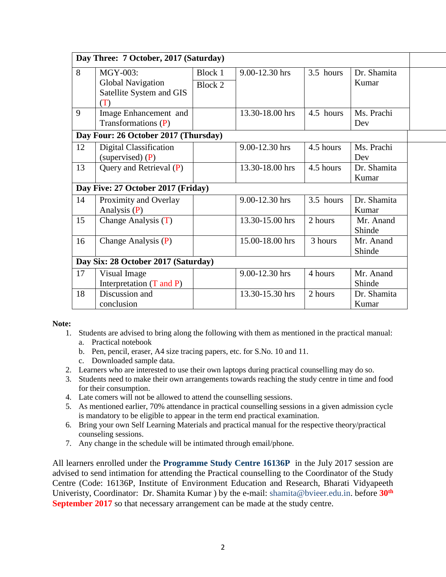|    | Day Three: 7 October, 2017 (Saturday) |                |                 |           |             |
|----|---------------------------------------|----------------|-----------------|-----------|-------------|
| 8  | MGY-003:                              | Block 1        | 9.00-12.30 hrs  | 3.5 hours | Dr. Shamita |
|    | <b>Global Navigation</b>              | <b>Block 2</b> |                 |           | Kumar       |
|    | Satellite System and GIS              |                |                 |           |             |
|    | (T)                                   |                |                 |           |             |
| 9  | Image Enhancement and                 |                | 13.30-18.00 hrs | 4.5 hours | Ms. Prachi  |
|    | Transformations (P)                   |                |                 |           | Dev         |
|    | Day Four: 26 October 2017 (Thursday)  |                |                 |           |             |
| 12 | Digital Classification                |                | 9.00-12.30 hrs  | 4.5 hours | Ms. Prachi  |
|    | (supervised) $(P)$                    |                |                 |           | Dev         |
| 13 | Query and Retrieval (P)               |                | 13.30-18.00 hrs | 4.5 hours | Dr. Shamita |
|    |                                       |                |                 |           | Kumar       |
|    | Day Five: 27 October 2017 (Friday)    |                |                 |           |             |
| 14 | Proximity and Overlay                 |                | 9.00-12.30 hrs  | 3.5 hours | Dr. Shamita |
|    | Analysis $(P)$                        |                |                 |           | Kumar       |
| 15 | Change Analysis (T)                   |                | 13.30-15.00 hrs | 2 hours   | Mr. Anand   |
|    |                                       |                |                 |           | Shinde      |
| 16 | Change Analysis (P)                   |                | 15.00-18.00 hrs | 3 hours   | Mr. Anand   |
|    |                                       |                |                 |           | Shinde      |
|    | Day Six: 28 October 2017 (Saturday)   |                |                 |           |             |
| 17 | Visual Image                          |                | 9.00-12.30 hrs  | 4 hours   | Mr. Anand   |
|    | Interpretation (T and P)              |                |                 |           | Shinde      |
| 18 | Discussion and                        |                | 13.30-15.30 hrs | 2 hours   | Dr. Shamita |
|    | conclusion                            |                |                 |           | Kumar       |

**Note:**

- 1. Students are advised to bring along the following with them as mentioned in the practical manual:
	- a. Practical notebook
	- b. Pen, pencil, eraser, A4 size tracing papers, etc. for S.No. 10 and 11.
	- c. Downloaded sample data.
- 2. Learners who are interested to use their own laptops during practical counselling may do so.
- 3. Students need to make their own arrangements towards reaching the study centre in time and food for their consumption.
- 4. Late comers will not be allowed to attend the counselling sessions.
- 5. As mentioned earlier, 70% attendance in practical counselling sessions in a given admission cycle is mandatory to be eligible to appear in the term end practical examination.
- 6. Bring your own Self Learning Materials and practical manual for the respective theory/practical counseling sessions.
- 7. Any change in the schedule will be intimated through email/phone.

All learners enrolled under the **Programme Study Centre 16136P** in the July 2017 session are advised to send intimation for attending the Practical counselling to the Coordinator of the Study Centre (Code: 16136P, Institute of Environment Education and Research, Bharati Vidyapeeth Univeristy, Coordinator: Dr. Shamita Kumar ) by the e-mail: shamita@bvieer.edu.in. before **30th September 2017** so that necessary arrangement can be made at the study centre.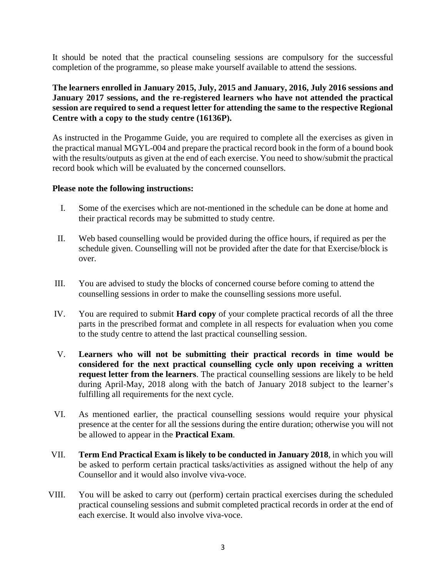It should be noted that the practical counseling sessions are compulsory for the successful completion of the programme, so please make yourself available to attend the sessions.

**The learners enrolled in January 2015, July, 2015 and January, 2016, July 2016 sessions and January 2017 sessions, and the re-registered learners who have not attended the practical session are required to send a request letter for attending the same to the respective Regional Centre with a copy to the study centre (16136P).**

As instructed in the Progamme Guide, you are required to complete all the exercises as given in the practical manual MGYL-004 and prepare the practical record book in the form of a bound book with the results/outputs as given at the end of each exercise. You need to show/submit the practical record book which will be evaluated by the concerned counsellors.

## **Please note the following instructions:**

- I. Some of the exercises which are not-mentioned in the schedule can be done at home and their practical records may be submitted to study centre.
- II. Web based counselling would be provided during the office hours, if required as per the schedule given. Counselling will not be provided after the date for that Exercise/block is over.
- III. You are advised to study the blocks of concerned course before coming to attend the counselling sessions in order to make the counselling sessions more useful.
- IV. You are required to submit **Hard copy** of your complete practical records of all the three parts in the prescribed format and complete in all respects for evaluation when you come to the study centre to attend the last practical counselling session.
- V. **Learners who will not be submitting their practical records in time would be considered for the next practical counselling cycle only upon receiving a written request letter from the learners**. The practical counselling sessions are likely to be held during April-May, 2018 along with the batch of January 2018 subject to the learner's fulfilling all requirements for the next cycle.
- VI. As mentioned earlier, the practical counselling sessions would require your physical presence at the center for all the sessions during the entire duration; otherwise you will not be allowed to appear in the **Practical Exam**.
- VII. **Term End Practical Exam is likely to be conducted in January 2018**, in which you will be asked to perform certain practical tasks/activities as assigned without the help of any Counsellor and it would also involve viva-voce.
- VIII. You will be asked to carry out (perform) certain practical exercises during the scheduled practical counseling sessions and submit completed practical records in order at the end of each exercise. It would also involve viva-voce.